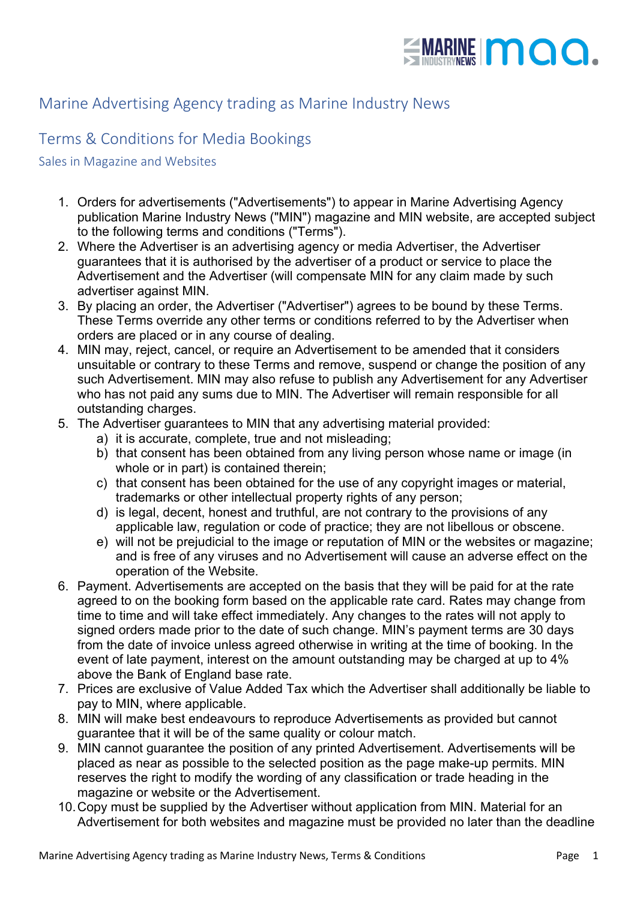

## Marine Advertising Agency trading as Marine Industry News

## Terms & Conditions for Media Bookings

## Sales in Magazine and Websites

- 1. Orders for advertisements ("Advertisements") to appear in Marine Advertising Agency publication Marine Industry News ("MIN") magazine and MIN website, are accepted subject to the following terms and conditions ("Terms").
- 2. Where the Advertiser is an advertising agency or media Advertiser, the Advertiser guarantees that it is authorised by the advertiser of a product or service to place the Advertisement and the Advertiser (will compensate MIN for any claim made by such advertiser against MIN.
- 3. By placing an order, the Advertiser ("Advertiser") agrees to be bound by these Terms. These Terms override any other terms or conditions referred to by the Advertiser when orders are placed or in any course of dealing.
- 4. MIN may, reject, cancel, or require an Advertisement to be amended that it considers unsuitable or contrary to these Terms and remove, suspend or change the position of any such Advertisement. MIN may also refuse to publish any Advertisement for any Advertiser who has not paid any sums due to MIN. The Advertiser will remain responsible for all outstanding charges.
- 5. The Advertiser guarantees to MIN that any advertising material provided:
	- a) it is accurate, complete, true and not misleading;
	- b) that consent has been obtained from any living person whose name or image (in whole or in part) is contained therein;
	- c) that consent has been obtained for the use of any copyright images or material, trademarks or other intellectual property rights of any person;
	- d) is legal, decent, honest and truthful, are not contrary to the provisions of any applicable law, regulation or code of practice; they are not libellous or obscene.
	- e) will not be prejudicial to the image or reputation of MIN or the websites or magazine; and is free of any viruses and no Advertisement will cause an adverse effect on the operation of the Website.
- 6. Payment. Advertisements are accepted on the basis that they will be paid for at the rate agreed to on the booking form based on the applicable rate card. Rates may change from time to time and will take effect immediately. Any changes to the rates will not apply to signed orders made prior to the date of such change. MIN's payment terms are 30 days from the date of invoice unless agreed otherwise in writing at the time of booking. In the event of late payment, interest on the amount outstanding may be charged at up to 4% above the Bank of England base rate.
- 7. Prices are exclusive of Value Added Tax which the Advertiser shall additionally be liable to pay to MIN, where applicable.
- 8. MIN will make best endeavours to reproduce Advertisements as provided but cannot guarantee that it will be of the same quality or colour match.
- 9. MIN cannot guarantee the position of any printed Advertisement. Advertisements will be placed as near as possible to the selected position as the page make-up permits. MIN reserves the right to modify the wording of any classification or trade heading in the magazine or website or the Advertisement.
- 10.Copy must be supplied by the Advertiser without application from MIN. Material for an Advertisement for both websites and magazine must be provided no later than the deadline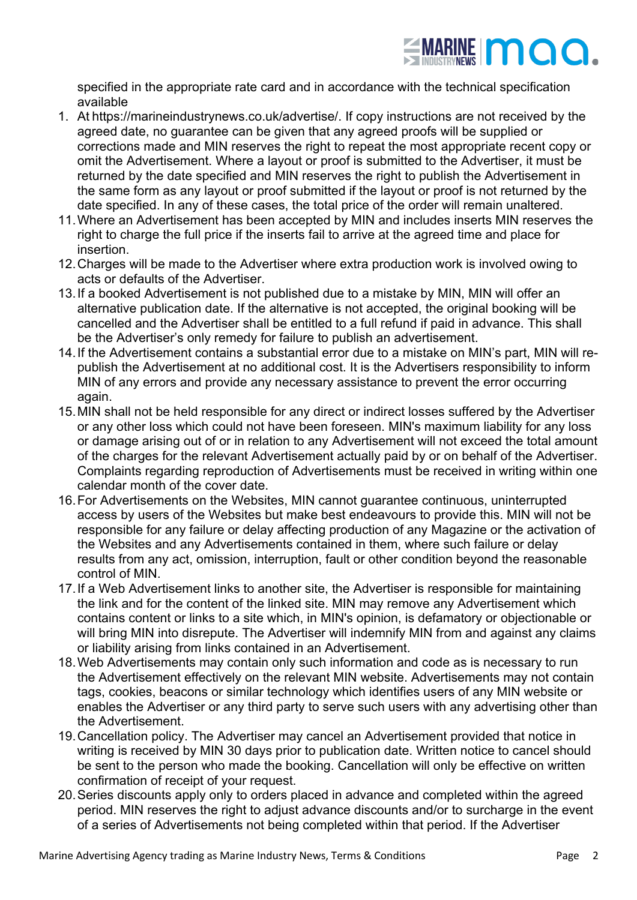

specified in the appropriate rate card and in accordance with the technical specification available

- 1. At https://marineindustrynews.co.uk/advertise/. If copy instructions are not received by the agreed date, no guarantee can be given that any agreed proofs will be supplied or corrections made and MIN reserves the right to repeat the most appropriate recent copy or omit the Advertisement. Where a layout or proof is submitted to the Advertiser, it must be returned by the date specified and MIN reserves the right to publish the Advertisement in the same form as any layout or proof submitted if the layout or proof is not returned by the date specified. In any of these cases, the total price of the order will remain unaltered.
- 11.Where an Advertisement has been accepted by MIN and includes inserts MIN reserves the right to charge the full price if the inserts fail to arrive at the agreed time and place for insertion.
- 12.Charges will be made to the Advertiser where extra production work is involved owing to acts or defaults of the Advertiser.
- 13.If a booked Advertisement is not published due to a mistake by MIN, MIN will offer an alternative publication date. If the alternative is not accepted, the original booking will be cancelled and the Advertiser shall be entitled to a full refund if paid in advance. This shall be the Advertiser's only remedy for failure to publish an advertisement.
- 14.If the Advertisement contains a substantial error due to a mistake on MIN's part, MIN will republish the Advertisement at no additional cost. It is the Advertisers responsibility to inform MIN of any errors and provide any necessary assistance to prevent the error occurring again.
- 15.MIN shall not be held responsible for any direct or indirect losses suffered by the Advertiser or any other loss which could not have been foreseen. MIN's maximum liability for any loss or damage arising out of or in relation to any Advertisement will not exceed the total amount of the charges for the relevant Advertisement actually paid by or on behalf of the Advertiser. Complaints regarding reproduction of Advertisements must be received in writing within one calendar month of the cover date.
- 16.For Advertisements on the Websites, MIN cannot guarantee continuous, uninterrupted access by users of the Websites but make best endeavours to provide this. MIN will not be responsible for any failure or delay affecting production of any Magazine or the activation of the Websites and any Advertisements contained in them, where such failure or delay results from any act, omission, interruption, fault or other condition beyond the reasonable control of MIN.
- 17.If a Web Advertisement links to another site, the Advertiser is responsible for maintaining the link and for the content of the linked site. MIN may remove any Advertisement which contains content or links to a site which, in MIN's opinion, is defamatory or objectionable or will bring MIN into disrepute. The Advertiser will indemnify MIN from and against any claims or liability arising from links contained in an Advertisement.
- 18.Web Advertisements may contain only such information and code as is necessary to run the Advertisement effectively on the relevant MIN website. Advertisements may not contain tags, cookies, beacons or similar technology which identifies users of any MIN website or enables the Advertiser or any third party to serve such users with any advertising other than the Advertisement.
- 19.Cancellation policy. The Advertiser may cancel an Advertisement provided that notice in writing is received by MIN 30 days prior to publication date. Written notice to cancel should be sent to the person who made the booking. Cancellation will only be effective on written confirmation of receipt of your request.
- 20.Series discounts apply only to orders placed in advance and completed within the agreed period. MIN reserves the right to adjust advance discounts and/or to surcharge in the event of a series of Advertisements not being completed within that period. If the Advertiser